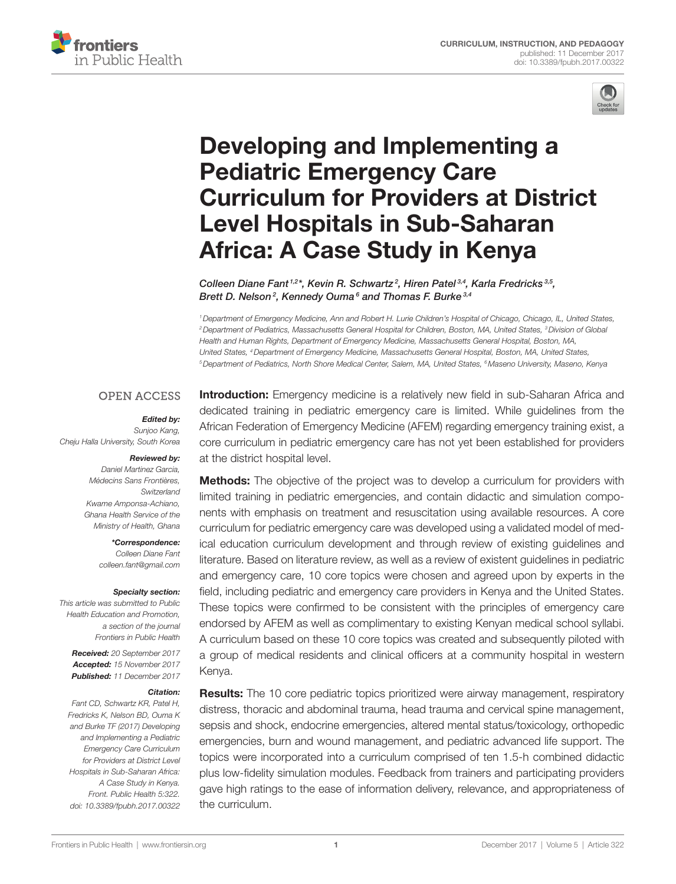



# Developing and Implementing a **Pediatric Emergency Care Curriculum for Providers at District Level Hospitals in Sub-Saharan Africa: A Case Study in Kenya**

*[Colleen Diane Fant](http://loop.frontiersin.org/people/399553) 1,2\*, Kevin R. Schwartz <sup>2</sup> , Hiren Patel 3,4, Karla Fredricks 3,5, Brett D. Nelson <sup>2</sup> , [Kennedy Ouma](http://loop.frontiersin.org/people/402229) <sup>6</sup> and Thomas F. Burke 3,4*

*1Department of Emergency Medicine, Ann and Robert H. Lurie Children's Hospital of Chicago, Chicago, IL, United States, 2Department of Pediatrics, Massachusetts General Hospital for Children, Boston, MA, United States, 3Division of Global Health and Human Rights, Department of Emergency Medicine, Massachusetts General Hospital, Boston, MA, United States, 4Department of Emergency Medicine, Massachusetts General Hospital, Boston, MA, United States, 5Department of Pediatrics, North Shore Medical Center, Salem, MA, United States, 6Maseno University, Maseno, Kenya*

### **OPEN ACCESS**

#### *Edited by:*

*Sunjoo Kang, Cheju Halla University, South Korea*

#### *Reviewed by:*

*Daniel Martinez Garcia, Médecins Sans Frontières, Switzerland Kwame Amponsa-Achiano, Ghana Health Service of the Ministry of Health, Ghana*

#### *\*Correspondence:*

*Colleen Diane Fant [colleen.fant@gmail.com](mailto:colleen.fant@gmail.com)*

#### *Specialty section:*

*This article was submitted to Public Health Education and Promotion, a section of the journal Frontiers in Public Health*

*Received: 20 September 2017 Accepted: 15 November 2017 Published: 11 December 2017*

#### *Citation:*

*Fant CD, Schwartz KR, Patel H, Fredricks K, Nelson BD, Ouma K and Burke TF (2017) Developing and Implementing a Pediatric Emergency Care Curriculum for Providers at District Level Hospitals in Sub-Saharan Africa: A Case Study in Kenya. Front. Public Health 5:322. doi: [10.3389/fpubh.2017.00322](https://doi.org/10.3389/fpubh.2017.00322)*

**Introduction:** Emergency medicine is a relatively new field in sub-Saharan Africa and dedicated training in pediatric emergency care is limited. While guidelines from the African Federation of Emergency Medicine (AFEM) regarding emergency training exist, a core curriculum in pediatric emergency care has not yet been established for providers at the district hospital level.

Methods: The objective of the project was to develop a curriculum for providers with limited training in pediatric emergencies, and contain didactic and simulation components with emphasis on treatment and resuscitation using available resources. A core curriculum for pediatric emergency care was developed using a validated model of medical education curriculum development and through review of existing guidelines and literature. Based on literature review, as well as a review of existent quidelines in pediatric and emergency care, 10 core topics were chosen and agreed upon by experts in the field, including pediatric and emergency care providers in Kenya and the United States. These topics were confirmed to be consistent with the principles of emergency care endorsed by AFEM as well as complimentary to existing Kenyan medical school syllabi. A curriculum based on these 10 core topics was created and subsequently piloted with a group of medical residents and clinical officers at a community hospital in western Kenya.

**Results:** The 10 core pediatric topics prioritized were airway management, respiratory distress, thoracic and abdominal trauma, head trauma and cervical spine management, sepsis and shock, endocrine emergencies, altered mental status/toxicology, orthopedic emergencies, burn and wound management, and pediatric advanced life support. The topics were incorporated into a curriculum comprised of ten 1.5-h combined didactic plus low-fidelity simulation modules. Feedback from trainers and participating providers gave high ratings to the ease of information delivery, relevance, and appropriateness of the curriculum.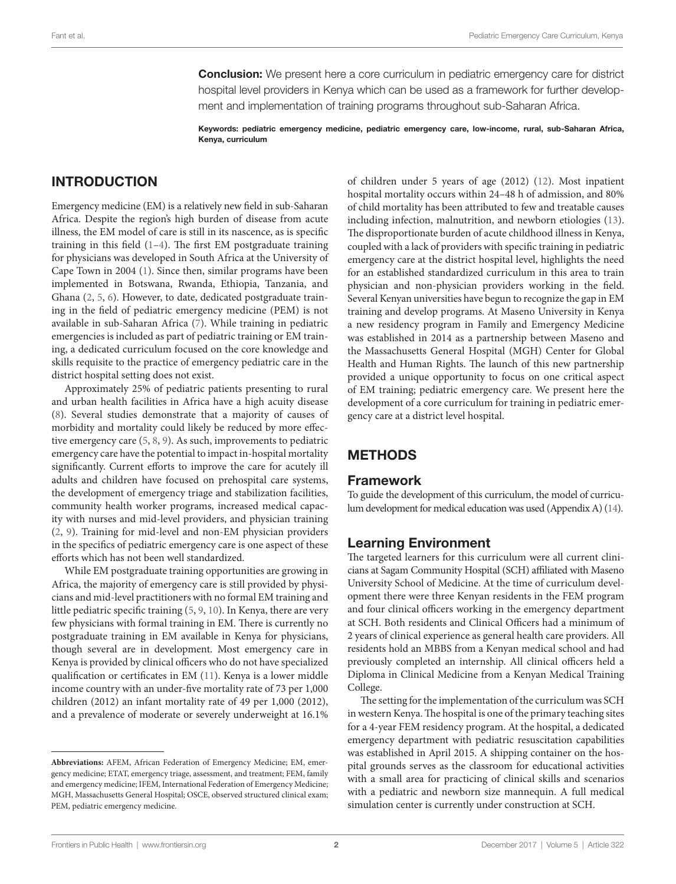**Conclusion:** We present here a core curriculum in pediatric emergency care for district hospital level providers in Kenya which can be used as a framework for further development and implementation of training programs throughout sub-Saharan Africa.

Keywords: pediatric emergency medicine, pediatric emergency care, low-income, rural, sub-Saharan Africa, Kenya, curriculum

# INTRODUCTION

Emergency medicine (EM) is a relatively new field in sub-Saharan Africa. Despite the region's high burden of disease from acute illness, the EM model of care is still in its nascence, as is specific training in this field  $(1-4)$  $(1-4)$  $(1-4)$ . The first EM postgraduate training for physicians was developed in South Africa at the University of Cape Town in 2004 ([1](#page-5-0)). Since then, similar programs have been implemented in Botswana, Rwanda, Ethiopia, Tanzania, and Ghana [\(2,](#page-5-2) [5](#page-5-3), [6](#page-6-3)). However, to date, dedicated postgraduate training in the field of pediatric emergency medicine (PEM) is not available in sub-Saharan Africa [\(7\)](#page-6-4). While training in pediatric emergencies is included as part of pediatric training or EM training, a dedicated curriculum focused on the core knowledge and skills requisite to the practice of emergency pediatric care in the district hospital setting does not exist.

Approximately 25% of pediatric patients presenting to rural and urban health facilities in Africa have a high acuity disease ([8](#page-6-5)). Several studies demonstrate that a majority of causes of morbidity and mortality could likely be reduced by more effective emergency care ([5](#page-5-3), [8,](#page-6-5) [9\)](#page-6-6). As such, improvements to pediatric emergency care have the potential to impact in-hospital mortality significantly. Current efforts to improve the care for acutely ill adults and children have focused on prehospital care systems, the development of emergency triage and stabilization facilities, community health worker programs, increased medical capacity with nurses and mid-level providers, and physician training ([2](#page-5-2), [9](#page-6-6)). Training for mid-level and non-EM physician providers in the specifics of pediatric emergency care is one aspect of these efforts which has not been well standardized.

While EM postgraduate training opportunities are growing in Africa, the majority of emergency care is still provided by physicians and mid-level practitioners with no formal EM training and little pediatric specific training ([5](#page-5-3), [9](#page-6-6), [10](#page-6-7)). In Kenya, there are very few physicians with formal training in EM. There is currently no postgraduate training in EM available in Kenya for physicians, though several are in development. Most emergency care in Kenya is provided by clinical officers who do not have specialized qualification or certificates in EM ([11\)](#page-6-8). Kenya is a lower middle income country with an under-five mortality rate of 73 per 1,000 children (2012) an infant mortality rate of 49 per 1,000 (2012), and a prevalence of moderate or severely underweight at 16.1% of children under 5 years of age (2012) ([12\)](#page-6-0). Most inpatient hospital mortality occurs within 24–48 h of admission, and 80% of child mortality has been attributed to few and treatable causes including infection, malnutrition, and newborn etiologies [\(13](#page-6-1)). The disproportionate burden of acute childhood illness in Kenya, coupled with a lack of providers with specific training in pediatric emergency care at the district hospital level, highlights the need for an established standardized curriculum in this area to train physician and non-physician providers working in the field. Several Kenyan universities have begun to recognize the gap in EM training and develop programs. At Maseno University in Kenya a new residency program in Family and Emergency Medicine was established in 2014 as a partnership between Maseno and the Massachusetts General Hospital (MGH) Center for Global Health and Human Rights. The launch of this new partnership provided a unique opportunity to focus on one critical aspect of EM training; pediatric emergency care. We present here the development of a core curriculum for training in pediatric emergency care at a district level hospital.

# METHODS

### Framework

To guide the development of this curriculum, the model of curriculum development for medical education was used (Appendix A) [\(14\)](#page-6-2).

### Learning Environment

The targeted learners for this curriculum were all current clinicians at Sagam Community Hospital (SCH) affiliated with Maseno University School of Medicine. At the time of curriculum development there were three Kenyan residents in the FEM program and four clinical officers working in the emergency department at SCH. Both residents and Clinical Officers had a minimum of 2 years of clinical experience as general health care providers. All residents hold an MBBS from a Kenyan medical school and had previously completed an internship. All clinical officers held a Diploma in Clinical Medicine from a Kenyan Medical Training College.

The setting for the implementation of the curriculum was SCH in western Kenya. The hospital is one of the primary teaching sites for a 4-year FEM residency program. At the hospital, a dedicated emergency department with pediatric resuscitation capabilities was established in April 2015. A shipping container on the hospital grounds serves as the classroom for educational activities with a small area for practicing of clinical skills and scenarios with a pediatric and newborn size mannequin. A full medical simulation center is currently under construction at SCH.

**Abbreviations:** AFEM, African Federation of Emergency Medicine; EM, emergency medicine; ETAT, emergency triage, assessment, and treatment; FEM, family and emergency medicine; IFEM, International Federation of Emergency Medicine; MGH, Massachusetts General Hospital; OSCE, observed structured clinical exam; PEM, pediatric emergency medicine.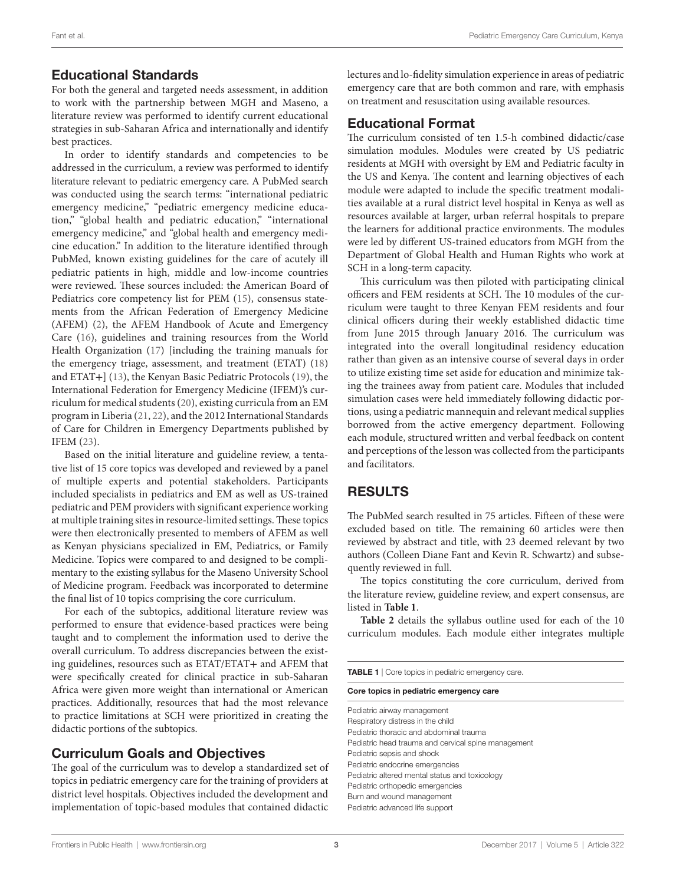# Educational Standards

For both the general and targeted needs assessment, in addition to work with the partnership between MGH and Maseno, a literature review was performed to identify current educational strategies in sub-Saharan Africa and internationally and identify best practices.

In order to identify standards and competencies to be addressed in the curriculum, a review was performed to identify literature relevant to pediatric emergency care. A PubMed search was conducted using the search terms: "international pediatric emergency medicine," "pediatric emergency medicine education," "global health and pediatric education," "international emergency medicine," and "global health and emergency medicine education." In addition to the literature identified through PubMed, known existing guidelines for the care of acutely ill pediatric patients in high, middle and low-income countries were reviewed. These sources included: the American Board of Pediatrics core competency list for PEM ([15\)](#page-6-9), consensus statements from the African Federation of Emergency Medicine (AFEM) ([2](#page-5-2)), the AFEM Handbook of Acute and Emergency Care ([16\)](#page-6-10), guidelines and training resources from the World Health Organization [\(17\)](#page-6-11) [including the training manuals for the emergency triage, assessment, and treatment (ETAT) ([18\)](#page-6-12) and ETAT+] [\(13](#page-6-1)), the Kenyan Basic Pediatric Protocols [\(19\)](#page-6-13), the International Federation for Emergency Medicine (IFEM)'s curriculum for medical students [\(20](#page-6-14)), existing curricula from an EM program in Liberia [\(21](#page-6-15), [22](#page-6-16)), and the 2012 International Standards of Care for Children in Emergency Departments published by IFEM [\(23](#page-6-17)).

Based on the initial literature and guideline review, a tentative list of 15 core topics was developed and reviewed by a panel of multiple experts and potential stakeholders. Participants included specialists in pediatrics and EM as well as US-trained pediatric and PEM providers with significant experience working at multiple training sites in resource-limited settings. These topics were then electronically presented to members of AFEM as well as Kenyan physicians specialized in EM, Pediatrics, or Family Medicine. Topics were compared to and designed to be complimentary to the existing syllabus for the Maseno University School of Medicine program. Feedback was incorporated to determine the final list of 10 topics comprising the core curriculum.

For each of the subtopics, additional literature review was performed to ensure that evidence-based practices were being taught and to complement the information used to derive the overall curriculum. To address discrepancies between the existing guidelines, resources such as ETAT/ETAT+ and AFEM that were specifically created for clinical practice in sub-Saharan Africa were given more weight than international or American practices. Additionally, resources that had the most relevance to practice limitations at SCH were prioritized in creating the didactic portions of the subtopics.

### Curriculum Goals and Objectives

The goal of the curriculum was to develop a standardized set of topics in pediatric emergency care for the training of providers at district level hospitals. Objectives included the development and implementation of topic-based modules that contained didactic

lectures and lo-fidelity simulation experience in areas of pediatric emergency care that are both common and rare, with emphasis on treatment and resuscitation using available resources.

### Educational Format

The curriculum consisted of ten 1.5-h combined didactic/case simulation modules. Modules were created by US pediatric residents at MGH with oversight by EM and Pediatric faculty in the US and Kenya. The content and learning objectives of each module were adapted to include the specific treatment modalities available at a rural district level hospital in Kenya as well as resources available at larger, urban referral hospitals to prepare the learners for additional practice environments. The modules were led by different US-trained educators from MGH from the Department of Global Health and Human Rights who work at SCH in a long-term capacity.

This curriculum was then piloted with participating clinical officers and FEM residents at SCH. The 10 modules of the curriculum were taught to three Kenyan FEM residents and four clinical officers during their weekly established didactic time from June 2015 through January 2016. The curriculum was integrated into the overall longitudinal residency education rather than given as an intensive course of several days in order to utilize existing time set aside for education and minimize taking the trainees away from patient care. Modules that included simulation cases were held immediately following didactic portions, using a pediatric mannequin and relevant medical supplies borrowed from the active emergency department. Following each module, structured written and verbal feedback on content and perceptions of the lesson was collected from the participants and facilitators.

# RESULTS

The PubMed search resulted in 75 articles. Fifteen of these were excluded based on title. The remaining 60 articles were then reviewed by abstract and title, with 23 deemed relevant by two authors (Colleen Diane Fant and Kevin R. Schwartz) and subsequently reviewed in full.

The topics constituting the core curriculum, derived from the literature review, guideline review, and expert consensus, are listed in **[Table 1](#page-2-0)**.

Table 2 details the syllabus outline used for each of the 10 curriculum modules. Each module either integrates multiple

<span id="page-2-0"></span>TABLE 1 | Core topics in pediatric emergency care.

Core topics in pediatric emergency care

Pediatric airway management Respiratory distress in the child Pediatric thoracic and abdominal trauma Pediatric head trauma and cervical spine management Pediatric sepsis and shock Pediatric endocrine emergencies Pediatric altered mental status and toxicology Pediatric orthopedic emergencies Burn and wound management Pediatric advanced life support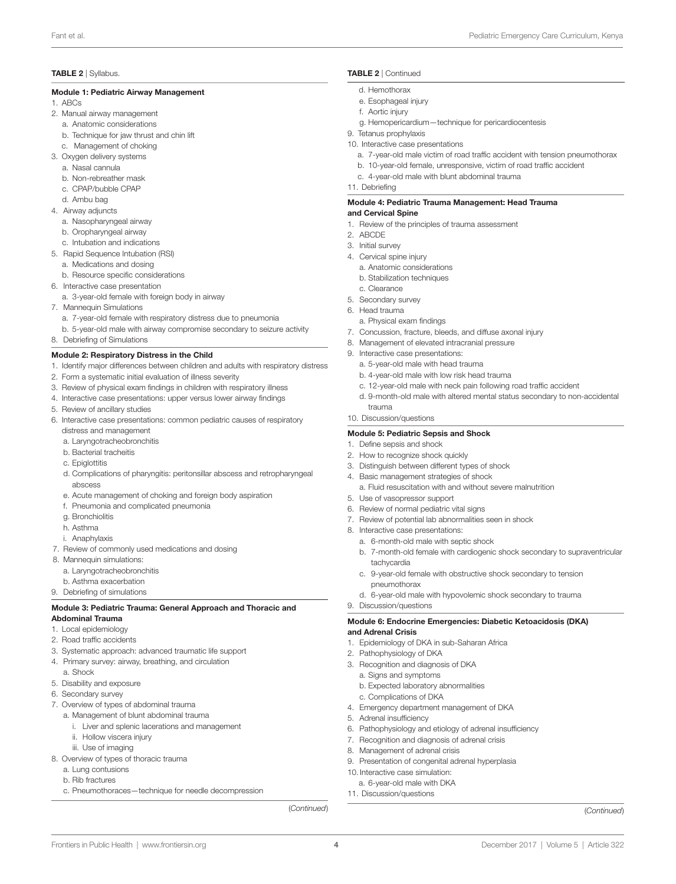#### <span id="page-3-0"></span>TABLE 2 | Syllabus.

#### Module 1: Pediatric Airway Management

#### 1. ABCs

- 2. Manual airway management
	- a. Anatomic considerations
	- b. Technique for jaw thrust and chin lift
	- c. Management of choking
- 3. Oxygen delivery systems
	- a. Nasal cannula
	- b. Non-rebreather mask
	- c. CPAP/bubble CPAP
	- d. Ambu bag
- 4. Airway adjuncts
	- a. Nasopharyngeal airway
	- b. Oropharyngeal airway
	- c. Intubation and indications
- 5. Rapid Sequence Intubation (RSI)
- a. Medications and dosing
- b. Resource specific considerations
- 6. Interactive case presentation
- a. 3-year-old female with foreign body in airway
- 7. Mannequin Simulations
	- a. 7-year-old female with respiratory distress due to pneumonia
	- b. 5-year-old male with airway compromise secondary to seizure activity
- 8. Debriefing of Simulations

#### Module 2: Respiratory Distress in the Child

- 1. Identify major differences between children and adults with respiratory distress
- 2. Form a systematic initial evaluation of illness severity
- 3. Review of physical exam findings in children with respiratory illness
- 4. Interactive case presentations: upper versus lower airway findings
- 5. Review of ancillary studies
- 6. Interactive case presentations: common pediatric causes of respiratory distress and management
	- a. Laryngotracheobronchitis
	- b. Bacterial tracheitis
	- c. Epiglottitis
	- d. Complications of pharyngitis: peritonsillar abscess and retropharyngeal abscess
	- e. Acute management of choking and foreign body aspiration
	- f. Pneumonia and complicated pneumonia
	- g. Bronchiolitis
	- h. Asthma
	- i. Anaphylaxis
- 7. Review of commonly used medications and dosing
- 8. Mannequin simulations:
	- a. Laryngotracheobronchitis
	- b. Asthma exacerbation
- 9. Debriefing of simulations

#### Module 3: Pediatric Trauma: General Approach and Thoracic and Abdominal Trauma

- 1. Local epidemiology
- 2. Road traffic accidents
- 3. Systematic approach: advanced traumatic life support
- 4. Primary survey: airway, breathing, and circulation a. Shock
- 5. Disability and exposure
- 6. Secondary survey
- 7. Overview of types of abdominal trauma
- a. Management of blunt abdominal trauma
	- i. Liver and splenic lacerations and management
	- ii. Hollow viscera injury
	- iii. Use of imaging
- 8. Overview of types of thoracic trauma
- a. Lung contusions
	- b. Rib fractures
	- c. Pneumothoraces—technique for needle decompression

(*Continued*) (*Continued*)

4

[Frontiers in Public Health](http://www.frontiersin.org/Public_Health) | [www.frontiersin.org](http://www.frontiersin.org) | November 2017 | Volume 5 | Article 322

#### TABLE 2 | Continued

- d. Hemothorax
- e. Esophageal injury
- f. Aortic injury
- g. Hemopericardium—technique for pericardiocentesis
- 9. Tetanus prophylaxis
- 10. Interactive case presentations
	- a. 7-year-old male victim of road traffic accident with tension pneumothorax
	- b. 10-year-old female, unresponsive, victim of road traffic accident
	- c. 4-year-old male with blunt abdominal trauma
- 11. Debriefing

#### Module 4: Pediatric Trauma Management: Head Trauma and Cervical Spine

- 1. Review of the principles of trauma assessment
- 2. ABCDE
- 3. Initial survey
- 4. Cervical spine injury
- a. Anatomic considerations
- b. Stabilization techniques
- c. Clearance
- 5. Secondary survey
- 6. Head trauma
- a. Physical exam findings
- 7. Concussion, fracture, bleeds, and diffuse axonal injury
- 8. Management of elevated intracranial pressure
- 9. Interactive case presentations:
	- a. 5-year-old male with head trauma
	- b. 4-year-old male with low risk head trauma
	- c. 12-year-old male with neck pain following road traffic accident

a. Fluid resuscitation with and without severe malnutrition

d. 9-month-old male with altered mental status secondary to non-accidental

b. 7-month-old female with cardiogenic shock secondary to supraventricular

c. 9-year-old female with obstructive shock secondary to tension

d. 6-year-old male with hypovolemic shock secondary to trauma

Module 6: Endocrine Emergencies: Diabetic Ketoacidosis (DKA)

- trauma
	- 10. Discussion/questions

#### Module 5: Pediatric Sepsis and Shock

4. Basic management strategies of shock

- 1. Define sepsis and shock
- 2. How to recognize shock quickly

5. Use of vasopressor support 6. Review of normal pediatric vital signs

8. Interactive case presentations:

tachycardia

9. Discussion/questions

2. Pathophysiology of DKA 3. Recognition and diagnosis of DKA a. Signs and symptoms

c. Complications of DKA

8. Management of adrenal crisis

10. Interactive case simulation: a. 6-year-old male with DKA 11. Discussion/questions

5. Adrenal insufficiency

and Adrenal Crisis

pneumothorax

3. Distinguish between different types of shock

a. 6-month-old male with septic shock

1. Epidemiology of DKA in sub-Saharan Africa

b. Expected laboratory abnormalities

4. Emergency department management of DKA

9. Presentation of congenital adrenal hyperplasia

6. Pathophysiology and etiology of adrenal insufficiency 7. Recognition and diagnosis of adrenal crisis

7. Review of potential lab abnormalities seen in shock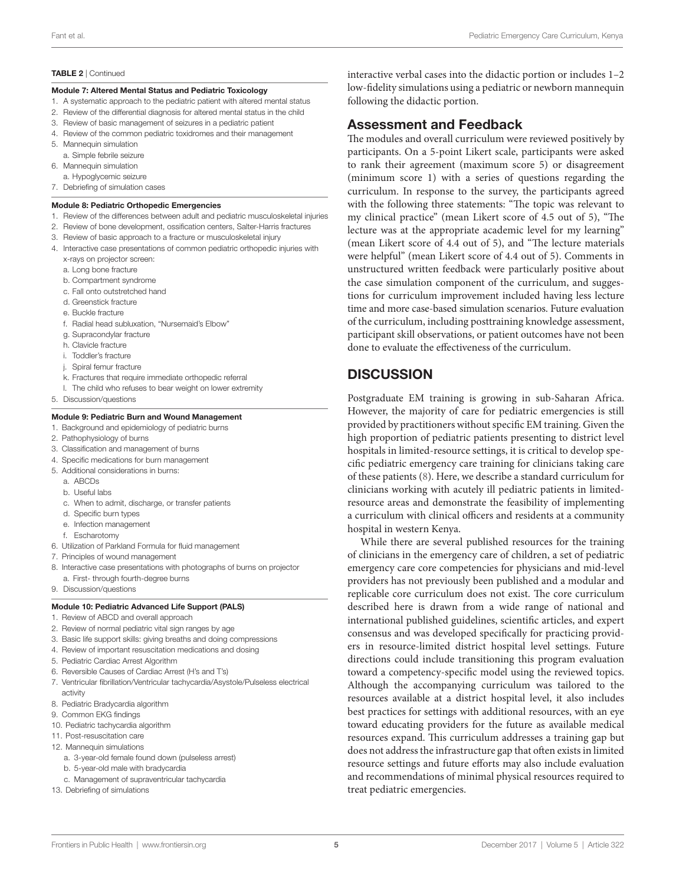#### TABLE 2 | Continued

#### Module 7: Altered Mental Status and Pediatric Toxicology

- 1. A systematic approach to the pediatric patient with altered mental status
- 2. Review of the differential diagnosis for altered mental status in the child
- 3. Review of basic management of seizures in a pediatric patient
- 4. Review of the common pediatric toxidromes and their management
- 5. Mannequin simulation
- a. Simple febrile seizure
- 6. Mannequin simulation
- a. Hypoglycemic seizure
- 7. Debriefing of simulation cases

#### Module 8: Pediatric Orthopedic Emergencies

- 1. Review of the differences between adult and pediatric musculoskeletal injuries
- 2. Review of bone development, ossification centers, Salter-Harris fractures
- 3. Review of basic approach to a fracture or musculoskeletal injury
- 4. Interactive case presentations of common pediatric orthopedic injuries with x-rays on projector screen:
	- a. Long bone fracture
	- b. Compartment syndrome
	- c. Fall onto outstretched hand
	- d. Greenstick fracture
	- e. Buckle fracture
	- f. Radial head subluxation, "Nursemaid's Elbow"
	- g. Supracondylar fracture
	- h. Clavicle fracture
	- i. Toddler's fracture
	- j. Spiral femur fracture
	- k. Fractures that require immediate orthopedic referral
	- l. The child who refuses to bear weight on lower extremity
- 5. Discussion/questions

#### Module 9: Pediatric Burn and Wound Management

- 1. Background and epidemiology of pediatric burns
- 2. Pathophysiology of burns
- 3. Classification and management of burns
- 4. Specific medications for burn management
- 5. Additional considerations in burns:
	- a. ABCDs
	- b. Useful labs
	- c. When to admit, discharge, or transfer patients
	- d. Specific burn types
	- e. Infection management
	- f. Escharotomy
- 6. Utilization of Parkland Formula for fluid management
- 7. Principles of wound management
- 8. Interactive case presentations with photographs of burns on projector a. First- through fourth-degree burns
- 9. Discussion/questions

#### Module 10: Pediatric Advanced Life Support (PALS)

- 1. Review of ABCD and overall approach
- 2. Review of normal pediatric vital sign ranges by age
- 3. Basic life support skills: giving breaths and doing compressions
- 4. Review of important resuscitation medications and dosing
- 5. Pediatric Cardiac Arrest Algorithm
- 6. Reversible Causes of Cardiac Arrest (H's and T's)
- 7. Ventricular fibrillation/Ventricular tachycardia/Asystole/Pulseless electrical activity
- 8. Pediatric Bradycardia algorithm
- 9. Common EKG findings
- 10. Pediatric tachycardia algorithm
- 11. Post-resuscitation care
- 12. Mannequin simulations
	- a. 3-year-old female found down (pulseless arrest)
	- b. 5-year-old male with bradycardia
	- c. Management of supraventricular tachycardia
- 13. Debriefing of simulations

interactive verbal cases into the didactic portion or includes 1–2 low-fidelity simulations using a pediatric or newborn mannequin following the didactic portion.

### Assessment and Feedback

The modules and overall curriculum were reviewed positively by participants. On a 5-point Likert scale, participants were asked to rank their agreement (maximum score 5) or disagreement (minimum score 1) with a series of questions regarding the curriculum. In response to the survey, the participants agreed with the following three statements: "The topic was relevant to my clinical practice" (mean Likert score of 4.5 out of 5), "The lecture was at the appropriate academic level for my learning" (mean Likert score of 4.4 out of 5), and "The lecture materials were helpful" (mean Likert score of 4.4 out of 5). Comments in unstructured written feedback were particularly positive about the case simulation component of the curriculum, and suggestions for curriculum improvement included having less lecture time and more case-based simulation scenarios. Future evaluation of the curriculum, including posttraining knowledge assessment, participant skill observations, or patient outcomes have not been done to evaluate the effectiveness of the curriculum.

### **DISCUSSION**

Postgraduate EM training is growing in sub-Saharan Africa. However, the majority of care for pediatric emergencies is still provided by practitioners without specific EM training. Given the high proportion of pediatric patients presenting to district level hospitals in limited-resource settings, it is critical to develop specific pediatric emergency care training for clinicians taking care of these patients [\(8\)](#page-6-5). Here, we describe a standard curriculum for clinicians working with acutely ill pediatric patients in limitedresource areas and demonstrate the feasibility of implementing a curriculum with clinical officers and residents at a community hospital in western Kenya.

While there are several published resources for the training of clinicians in the emergency care of children, a set of pediatric emergency care core competencies for physicians and mid-level providers has not previously been published and a modular and replicable core curriculum does not exist. The core curriculum described here is drawn from a wide range of national and international published guidelines, scientific articles, and expert consensus and was developed specifically for practicing providers in resource-limited district hospital level settings. Future directions could include transitioning this program evaluation toward a competency-specific model using the reviewed topics. Although the accompanying curriculum was tailored to the resources available at a district hospital level, it also includes best practices for settings with additional resources, with an eye toward educating providers for the future as available medical resources expand. This curriculum addresses a training gap but does not address the infrastructure gap that often exists in limited resource settings and future efforts may also include evaluation and recommendations of minimal physical resources required to treat pediatric emergencies.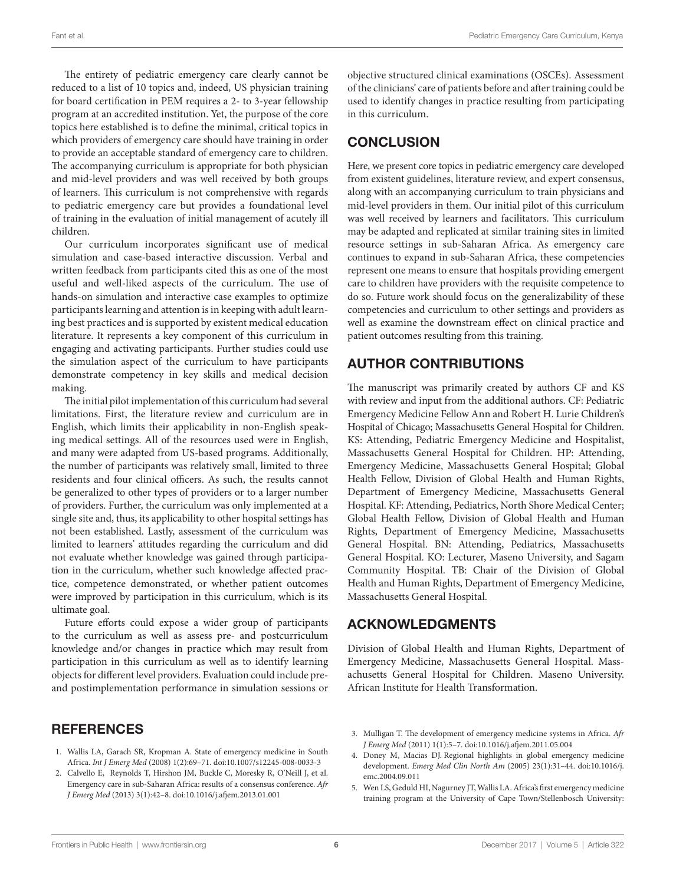The entirety of pediatric emergency care clearly cannot be reduced to a list of 10 topics and, indeed, US physician training for board certification in PEM requires a 2- to 3-year fellowship program at an accredited institution. Yet, the purpose of the core topics here established is to define the minimal, critical topics in which providers of emergency care should have training in order to provide an acceptable standard of emergency care to children. The accompanying curriculum is appropriate for both physician and mid-level providers and was well received by both groups of learners. This curriculum is not comprehensive with regards to pediatric emergency care but provides a foundational level of training in the evaluation of initial management of acutely ill children.

Our curriculum incorporates significant use of medical simulation and case-based interactive discussion. Verbal and written feedback from participants cited this as one of the most useful and well-liked aspects of the curriculum. The use of hands-on simulation and interactive case examples to optimize participants learning and attention is in keeping with adult learning best practices and is supported by existent medical education literature. It represents a key component of this curriculum in engaging and activating participants. Further studies could use the simulation aspect of the curriculum to have participants demonstrate competency in key skills and medical decision making.

The initial pilot implementation of this curriculum had several limitations. First, the literature review and curriculum are in English, which limits their applicability in non-English speaking medical settings. All of the resources used were in English, and many were adapted from US-based programs. Additionally, the number of participants was relatively small, limited to three residents and four clinical officers. As such, the results cannot be generalized to other types of providers or to a larger number of providers. Further, the curriculum was only implemented at a single site and, thus, its applicability to other hospital settings has not been established. Lastly, assessment of the curriculum was limited to learners' attitudes regarding the curriculum and did not evaluate whether knowledge was gained through participation in the curriculum, whether such knowledge affected practice, competence demonstrated, or whether patient outcomes were improved by participation in this curriculum, which is its ultimate goal.

Future efforts could expose a wider group of participants to the curriculum as well as assess pre- and postcurriculum knowledge and/or changes in practice which may result from participation in this curriculum as well as to identify learning objects for different level providers. Evaluation could include preand postimplementation performance in simulation sessions or

### REFERENCES

- <span id="page-5-0"></span>1. Wallis LA, Garach SR, Kropman A. State of emergency medicine in South Africa. *Int J Emerg Med* (2008) 1(2):69–71. doi[:10.1007/s12245-008-0033-3](https://doi.org/10.1007/s12245-008-0033-3)
- <span id="page-5-2"></span>2. Calvello E, Reynolds T, Hirshon JM, Buckle C, Moresky R, O'Neill J, et al. Emergency care in sub-Saharan Africa: results of a consensus conference. *Afr J Emerg Med* (2013) 3(1):42–8. doi:[10.1016/j.afjem.2013.01.001](https://doi.org/10.1016/j.afjem.
2013.01.001)

objective structured clinical examinations (OSCEs). Assessment of the clinicians' care of patients before and after training could be used to identify changes in practice resulting from participating in this curriculum.

# **CONCLUSION**

Here, we present core topics in pediatric emergency care developed from existent guidelines, literature review, and expert consensus, along with an accompanying curriculum to train physicians and mid-level providers in them. Our initial pilot of this curriculum was well received by learners and facilitators. This curriculum may be adapted and replicated at similar training sites in limited resource settings in sub-Saharan Africa. As emergency care continues to expand in sub-Saharan Africa, these competencies represent one means to ensure that hospitals providing emergent care to children have providers with the requisite competence to do so. Future work should focus on the generalizability of these competencies and curriculum to other settings and providers as well as examine the downstream effect on clinical practice and patient outcomes resulting from this training.

# AUTHOR CONTRIBUTIONS

The manuscript was primarily created by authors CF and KS with review and input from the additional authors. CF: Pediatric Emergency Medicine Fellow Ann and Robert H. Lurie Children's Hospital of Chicago; Massachusetts General Hospital for Children. KS: Attending, Pediatric Emergency Medicine and Hospitalist, Massachusetts General Hospital for Children. HP: Attending, Emergency Medicine, Massachusetts General Hospital; Global Health Fellow, Division of Global Health and Human Rights, Department of Emergency Medicine, Massachusetts General Hospital. KF: Attending, Pediatrics, North Shore Medical Center; Global Health Fellow, Division of Global Health and Human Rights, Department of Emergency Medicine, Massachusetts General Hospital. BN: Attending, Pediatrics, Massachusetts General Hospital. KO: Lecturer, Maseno University, and Sagam Community Hospital. TB: Chair of the Division of Global Health and Human Rights, Department of Emergency Medicine, Massachusetts General Hospital.

# ACKNOWLEDGMENTS

Division of Global Health and Human Rights, Department of Emergency Medicine, Massachusetts General Hospital. Massachusetts General Hospital for Children. Maseno University. African Institute for Health Transformation.

- 3. Mulligan T. The development of emergency medicine systems in Africa. *Afr J Emerg Med* (2011) 1(1):5–7. doi:[10.1016/j.afjem.2011.05.004](https://doi.org/10.1016/j.afjem.2011.05.004)
- <span id="page-5-1"></span>4. Doney M, Macias DJ. Regional highlights in global emergency medicine development. *Emerg Med Clin North Am* (2005) 23(1):31–44. doi:[10.1016/j.](https://doi.org/10.1016/j.emc.2004.09.011) [emc.2004.09.011](https://doi.org/10.1016/j.emc.2004.09.011)
- <span id="page-5-3"></span>5. Wen LS, Geduld HI, Nagurney JT, Wallis LA. Africa's first emergency medicine training program at the University of Cape Town/Stellenbosch University: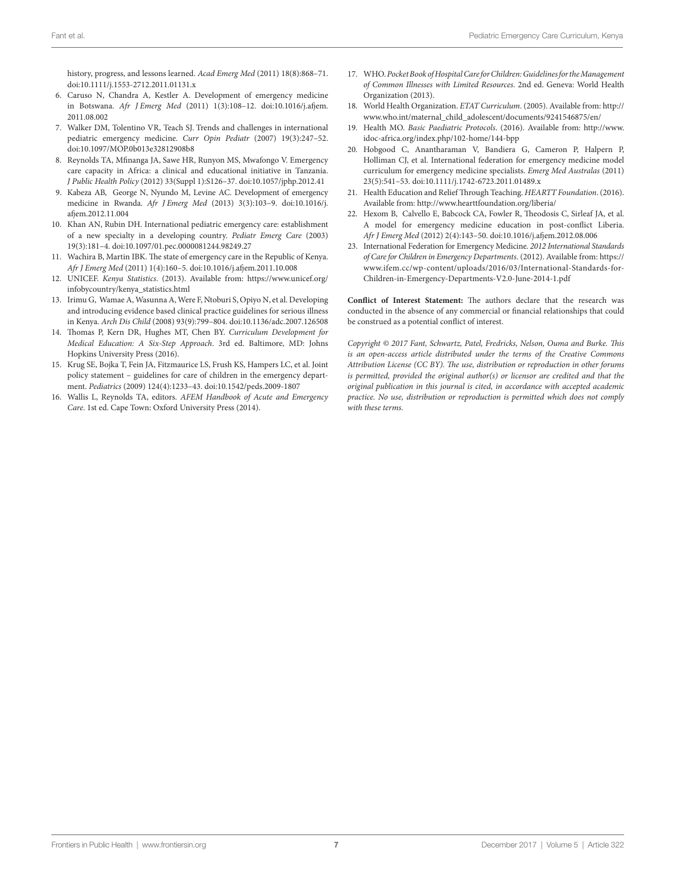history, progress, and lessons learned. *Acad Emerg Med* (2011) 18(8):868–71.

- <span id="page-6-3"></span>doi:[10.1111/j.1553-2712.2011.01131.x](https://doi.org/10.1111/j.1553-2712.2011.01131.x)  6. Caruso N, Chandra A, Kestler A. Development of emergency medicine in Botswana. *Afr J Emerg Med* (2011) 1(3):108–12. doi:[10.1016/j.afjem.](https://doi.org/10.1016/j.afjem.2011.08.002) [2011.08.002](https://doi.org/10.1016/j.afjem.2011.08.002)
- <span id="page-6-4"></span>7. Walker DM, Tolentino VR, Teach SJ. Trends and challenges in international pediatric emergency medicine. *Curr Opin Pediatr* (2007) 19(3):247–52. doi:[10.1097/MOP.0b013e32812908b8](https://doi.org/10.1097/MOP.0b013e32812908b8)
- <span id="page-6-5"></span>8. Reynolds TA, Mfinanga JA, Sawe HR, Runyon MS, Mwafongo V. Emergency care capacity in Africa: a clinical and educational initiative in Tanzania. *J Public Health Policy* (2012) 33(Suppl 1):S126–37. doi:[10.1057/jphp.2012.41](https://doi.org/10.1057/jphp.2012.41)
- <span id="page-6-6"></span>9. Kabeza AB, George N, Nyundo M, Levine AC. Development of emergency medicine in Rwanda. *Afr J Emerg Med* (2013) 3(3):103–9. doi:[10.1016/j.](https://doi.org/10.1016/j.afjem.2012.11.004) [afjem.2012.11.004](https://doi.org/10.1016/j.afjem.2012.11.004)
- <span id="page-6-7"></span>10. Khan AN, Rubin DH. International pediatric emergency care: establishment of a new specialty in a developing country. *Pediatr Emerg Care* (2003) 19(3):181–4. doi[:10.1097/01.pec.0000081244.98249.27](https://doi.org/10.1097/01.pec.0000081244.98249.27)
- <span id="page-6-8"></span>11. Wachira B, Martin IBK. The state of emergency care in the Republic of Kenya. *Afr J Emerg Med* (2011) 1(4):160–5. doi:[10.1016/j.afjem.2011.10.008](https://doi.org/10.1016/j.afjem.2011.10.008)
- <span id="page-6-0"></span>12. UNICEF. *Kenya Statistics*. (2013). Available from: [https://www.unicef.org/](https://www.unicef.org/infobycountry/kenya_statistics.html) [infobycountry/kenya\\_statistics.html](https://www.unicef.org/infobycountry/kenya_statistics.html)
- <span id="page-6-1"></span>13. Irimu G, Wamae A, Wasunna A, Were F, Ntoburi S, Opiyo N, et al. Developing and introducing evidence based clinical practice guidelines for serious illness in Kenya. *Arch Dis Child* (2008) 93(9):799–804. doi:[10.1136/adc.2007.126508](https://doi.org/10.1136/adc.2007.126508)
- <span id="page-6-2"></span>14. Thomas P, Kern DR, Hughes MT, Chen BY. *Curriculum Development for Medical Education: A Six-Step Approach*. 3rd ed. Baltimore, MD: Johns Hopkins University Press (2016).
- <span id="page-6-9"></span>15. Krug SE, Bojka T, Fein JA, Fitzmaurice LS, Frush KS, Hampers LC, et al. Joint policy statement – guidelines for care of children in the emergency department. *Pediatrics* (2009) 124(4):1233–43. doi:[10.1542/peds.2009-1807](https://doi.org/10.1542/peds.2009-1807)
- <span id="page-6-10"></span>16. Wallis L, Reynolds TA, editors. *AFEM Handbook of Acute and Emergency Care*. 1st ed. Cape Town: Oxford University Press (2014).
- <span id="page-6-11"></span>17. WHO. *Pocket Book of Hospital Care for Children: Guidelines for the Management of Common Illnesses with Limited Resources*. 2nd ed. Geneva: World Health Organization (2013).
- <span id="page-6-12"></span>18. World Health Organization. *ETAT Curriculum*. (2005). Available from: [http://](http://www.who.int/maternal_child_adolescent/documents/9241546875/en/) [www.who.int/maternal\\_child\\_adolescent/documents/9241546875/en/](http://www.who.int/maternal_child_adolescent/documents/9241546875/en/)
- <span id="page-6-13"></span>19. Health MO. *Basic Paediatric Protocols*. (2016). Available from: [http://www.](http://www.idoc-africa.org/index.php/102-home/144-bpp) [idoc-africa.org/index.php/102-home/144-bpp](http://www.idoc-africa.org/index.php/102-home/144-bpp)
- <span id="page-6-14"></span>20. Hobgood C, Anantharaman V, Bandiera G, Cameron P, Halpern P, Holliman CJ, et al. International federation for emergency medicine model curriculum for emergency medicine specialists. *Emerg Med Australas* (2011) 23(5):541–53. doi:[10.1111/j.1742-6723.2011.01489.x](https://doi.org/10.1111/j.1742-6723.2011.01489.x)
- <span id="page-6-15"></span>21. Health Education and Relief Through Teaching. *HEARTT Foundation*. (2016). Available from: <http://www.hearttfoundation.org/liberia/>
- <span id="page-6-16"></span>22. Hexom B, Calvello E, Babcock CA, Fowler R, Theodosis C, Sirleaf JA, et al. A model for emergency medicine education in post-conflict Liberia. *Afr J Emerg Med* (2012) 2(4):143–50. doi[:10.1016/j.afjem.2012.08.006](https://doi.org/10.1016/j.afjem.2012.08.006)
- <span id="page-6-17"></span>23. International Federation for Emergency Medicine. *2012 International Standards of Care for Children in Emergency Departments*. (2012). Available from: [https://](https://www.ifem.cc/wp-content/uploads/2016/03/International-Standards-for-Children-in-Emergency-Departments-V2.0-June-2014-1.pdf) [www.ifem.cc/wp-content/uploads/2016/03/International-Standards-for-](https://www.ifem.cc/wp-content/uploads/2016/03/International-Standards-for-Children-in-Emergency-Departments-V2.0-June-2014-1.pdf)[Children-in-Emergency-Departments-V2.0-June-2014-1.pdf](https://www.ifem.cc/wp-content/uploads/2016/03/International-Standards-for-Children-in-Emergency-Departments-V2.0-June-2014-1.pdf)

**Conflict of Interest Statement:** The authors declare that the research was conducted in the absence of any commercial or financial relationships that could be construed as a potential conflict of interest.

*Copyright © 2017 Fant, Schwartz, Patel, Fredricks, Nelson, Ouma and Burke. This is an open-access article distributed under the terms of the [Creative Commons](http://creativecommons.org/licenses/by/4.0/)  [Attribution License \(CC BY\)](http://creativecommons.org/licenses/by/4.0/). The use, distribution or reproduction in other forums is permitted, provided the original author(s) or licensor are credited and that the original publication in this journal is cited, in accordance with accepted academic practice. No use, distribution or reproduction is permitted which does not comply with these terms.*